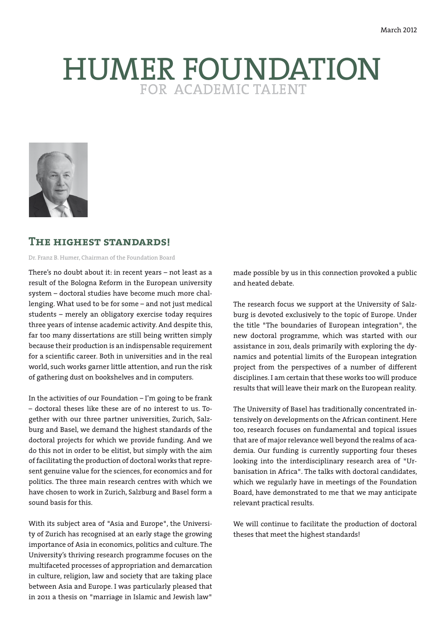# HUMER FOUNDATION



# **The highest standards!**

Dr. Franz B. Humer, Chairman of the Foundation Board

There's no doubt about it: in recent years – not least as a result of the Bologna Reform in the European university system – doctoral studies have become much more challenging. What used to be for some – and not just medical students – merely an obligatory exercise today requires three years of intense academic activity. And despite this, far too many dissertations are still being written simply because their production is an indispensable requirement for a scientific career. Both in universities and in the real world, such works garner little attention, and run the risk of gathering dust on bookshelves and in computers.

In the activities of our Foundation – I'm going to be frank – doctoral theses like these are of no interest to us. Together with our three partner universities, Zurich, Salzburg and Basel, we demand the highest standards of the doctoral projects for which we provide funding. And we do this not in order to be elitist, but simply with the aim of facilitating the production of doctoral works that represent genuine value for the sciences, for economics and for politics. The three main research centres with which we have chosen to work in Zurich, Salzburg and Basel form a sound basis for this.

With its subject area of "Asia and Europe", the University of Zurich has recognised at an early stage the growing importance of Asia in economics, politics and culture. The University's thriving research programme focuses on the multifaceted processes of appropriation and demarcation in culture, religion, law and society that are taking place between Asia and Europe. I was particularly pleased that in 2011 a thesis on "marriage in Islamic and Jewish law"

made possible by us in this connection provoked a public and heated debate.

The research focus we support at the University of Salzburg is devoted exclusively to the topic of Europe. Under the title "The boundaries of European integration", the new doctoral programme, which was started with our assistance in 2011, deals primarily with exploring the dynamics and potential limits of the European integration project from the perspectives of a number of different disciplines. I am certain that these works too will produce results that will leave their mark on the European reality.

The University of Basel has traditionally concentrated intensively on developments on the African continent. Here too, research focuses on fundamental and topical issues that are of major relevance well beyond the realms of academia. Our funding is currently supporting four theses looking into the interdisciplinary research area of "Urbanisation in Africa". The talks with doctoral candidates, which we regularly have in meetings of the Foundation Board, have demonstrated to me that we may anticipate relevant practical results.

We will continue to facilitate the production of doctoral theses that meet the highest standards!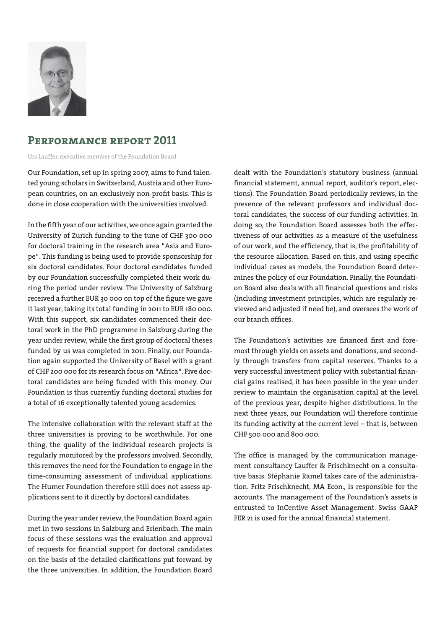

# **Performance report 2011**

Urs Lauffer, executive member of the Foundation Board

Our Foundation, set up in spring 2007, aims to fund talented young scholars in Switzerland, Austria and other European countries, on an exclusively non-profit basis. This is done in close cooperation with the universities involved.

In the fifth year of our activities, we once again granted the University of Zurich funding to the tune of CHF 300 000 for doctoral training in the research area "Asia and Europe". This funding is being used to provide sponsorship for six doctoral candidates. Four doctoral candidates funded by our Foundation successfully completed their work during the period under review. The University of Salzburg received a further EUR 30 000 on top of the figure we gave it last year, taking its total funding in 2011 to EUR 180 000. With this support, six candidates commenced their doctoral work in the PhD programme in Salzburg during the year under review, while the first group of doctoral theses funded by us was completed in 2011. Finally, our Foundation again supported the University of Basel with a grant of CHF 200 000 for its research focus on "Africa". Five doctoral candidates are being funded with this money. Our Foundation is thus currently funding doctoral studies for a total of 16 exceptionally talented young academics.

The intensive collaboration with the relevant staff at the three universities is proving to be worthwhile. For one thing, the quality of the individual research projects is regularly monitored by the professors involved. Secondly, this removes the need for the Foundation to engage in the time-consuming assessment of individual applications. The Humer Foundation therefore still does not assess applications sent to it directly by doctoral candidates.

During the year under review, the Foundation Board again met in two sessions in Salzburg and Erlenbach. The main focus of these sessions was the evaluation and approval of requests for financial support for doctoral candidates on the basis of the detailed clarifications put forward by the three universities. In addition, the Foundation Board dealt with the Foundation's statutory business (annual financial statement, annual report, auditor's report, elections). The Foundation Board periodically reviews, in the presence of the relevant professors and individual doctoral candidates, the success of our funding activities. In doing so, the Foundation Board assesses both the effectiveness of our activities as a measure of the usefulness of our work, and the efficiency, that is, the profitability of the resource allocation. Based on this, and using specific individual cases as models, the Foundation Board determines the policy of our Foundation. Finally, the Foundation Board also deals with all financial questions and risks (including investment principles, which are regularly reviewed and adjusted if need be), and oversees the work of our branch offices.

The Foundation's activities are financed first and foremost through yields on assets and donations, and secondly through transfers from capital reserves. Thanks to a very successful investment policy with substantial financial gains realised, it has been possible in the year under review to maintain the organisation capital at the level of the previous year, despite higher distributions. In the next three years, our Foundation will therefore continue its funding activity at the current level – that is, between CHF 500 000 and 800 000.

The office is managed by the communication management consultancy Lauffer & Frischknecht on a consultative basis. Stéphanie Ramel takes care of the administration. Fritz Frischknecht, MA Econ., is responsible for the accounts. The management of the Foundation's assets is entrusted to InCentive Asset Management. Swiss GAAP FER 21 is used for the annual financial statement.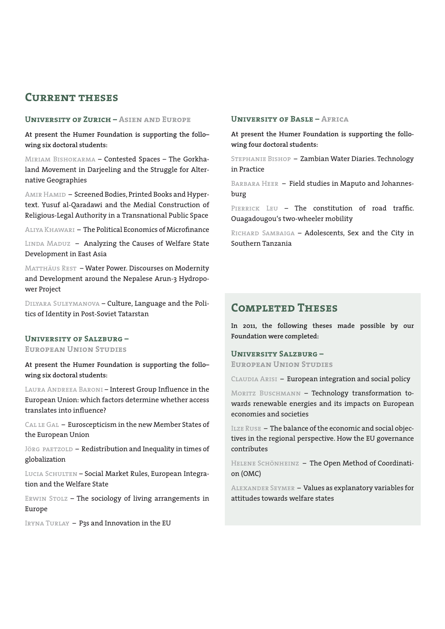# **Current theses**

#### **University of Zurich – Asien and Europe**

**At present the Humer Foundation is supporting the follo– wing six doctoral students:**

Miriam Bishokarma – Contested Spaces – The Gorkhaland Movement in Darjeeling and the Struggle for Alternative Geographies

AMIR HAMID – Screened Bodies, Printed Books and Hypertext. Yusuf al-Qaradawi and the Medial Construction of Religious-Legal Authority in a Transnational Public Space

Aliya Khawari – The Political Economics of Microfinance

LINDA MADUZ - Analyzing the Causes of Welfare State Development in East Asia

MATTHÄUS REST - Water Power. Discourses on Modernity and Development around the Nepalese Arun-3 Hydropower Project

Dilyara Suleymanova – Culture, Language and the Politics of Identity in Post-Soviet Tatarstan

#### **University of Salzburg –**

**European Union Studies**

**At present the Humer Foundation is supporting the follo– wing six doctoral students:**

Laura Andreea Baroni – Interest Group Influence in the European Union: which factors determine whether access translates into influence?

CAL LE GAL - Euroscepticism in the new Member States of the European Union

JÖRG PAETZOLD - Redistribution and Inequality in times of globalization

LUCIA SCHULTEN - Social Market Rules, European Integration and the Welfare State

ERWIN STOLZ - The sociology of living arrangements in Europe

IRYNA TURLAY - P3s and Innovation in the EU

#### **University of Basle – Africa**

**At present the Humer Foundation is supporting the following four doctoral students:**

Stephanie Bishop – Zambian Water Diaries. Technology in Practice

BARBARA HEER - Field studies in Maputo and Johannesburg

PIERRICK LEU - The constitution of road traffic. Ouagadougou's two-wheeler mobility

RICHARD SAMBAIGA - Adolescents, Sex and the City in Southern Tanzania

# **Completed Theses**

**In 2011, the following theses made possible by our Foundation were completed:**

#### **University Salzburg –**

**European Union Studies**

CLAUDIA ARISI - European integration and social policy

MORITZ BUSCHMANN - Technology transformation towards renewable energies and its impacts on European economies and societies

ILZE RUSE - The balance of the economic and social objectives in the regional perspective. How the EU governance contributes

HELENE SCHÖNHEINZ - The Open Method of Coordination (OMC)

Alexander Seymer – Values as explanatory variables for attitudes towards welfare states